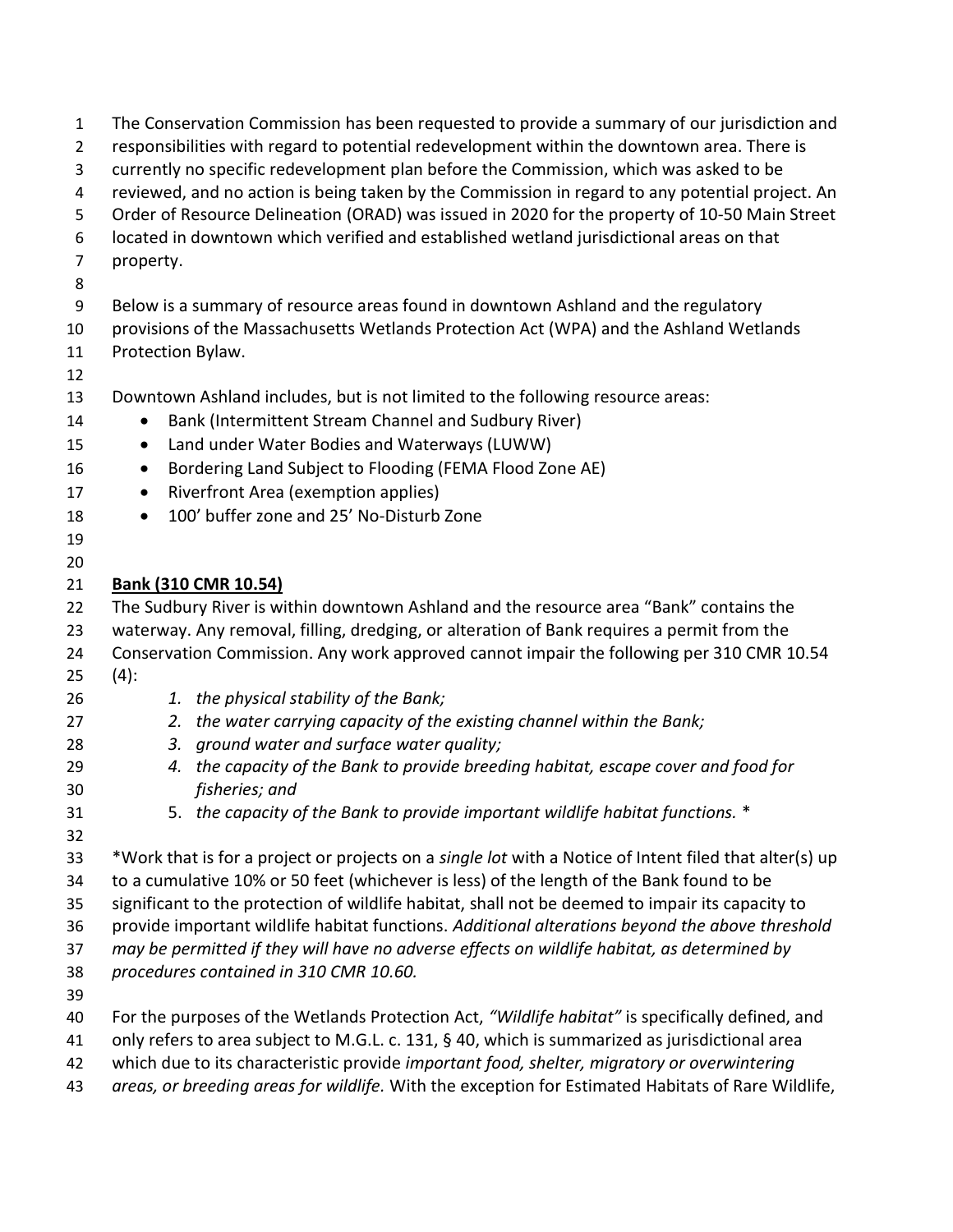| $\mathbf{1}$   | The Conservation Commission has been requested to provide a summary of our jurisdiction and            |
|----------------|--------------------------------------------------------------------------------------------------------|
| $\overline{2}$ | responsibilities with regard to potential redevelopment within the downtown area. There is             |
| 3              | currently no specific redevelopment plan before the Commission, which was asked to be                  |
| 4              | reviewed, and no action is being taken by the Commission in regard to any potential project. An        |
| 5              | Order of Resource Delineation (ORAD) was issued in 2020 for the property of 10-50 Main Street          |
| 6              | located in downtown which verified and established wetland jurisdictional areas on that                |
| $\overline{7}$ | property.                                                                                              |
| 8              |                                                                                                        |
| 9              | Below is a summary of resource areas found in downtown Ashland and the regulatory                      |
| 10             | provisions of the Massachusetts Wetlands Protection Act (WPA) and the Ashland Wetlands                 |
| 11             | Protection Bylaw.                                                                                      |
| 12<br>13       |                                                                                                        |
|                | Downtown Ashland includes, but is not limited to the following resource areas:                         |
| 14             | Bank (Intermittent Stream Channel and Sudbury River)                                                   |
| 15             | Land under Water Bodies and Waterways (LUWW)<br>$\bullet$                                              |
| 16             | Bordering Land Subject to Flooding (FEMA Flood Zone AE)<br>$\bullet$                                   |
| 17             | Riverfront Area (exemption applies)<br>$\bullet$                                                       |
| 18             | 100' buffer zone and 25' No-Disturb Zone<br>$\bullet$                                                  |
| 19             |                                                                                                        |
| 20             |                                                                                                        |
| 21             | Bank (310 CMR 10.54)                                                                                   |
| 22             | The Sudbury River is within downtown Ashland and the resource area "Bank" contains the                 |
| 23             | waterway. Any removal, filling, dredging, or alteration of Bank requires a permit from the             |
| 24             | Conservation Commission. Any work approved cannot impair the following per 310 CMR 10.54               |
| 25             | $(4)$ :                                                                                                |
| 26             | the physical stability of the Bank;<br>1.                                                              |
| 27             | the water carrying capacity of the existing channel within the Bank;<br>2.                             |
| 28             | ground water and surface water quality;<br>3.                                                          |
| 29             | the capacity of the Bank to provide breeding habitat, escape cover and food for<br>4.                  |
| 30             | fisheries; and                                                                                         |
| 31             | 5. the capacity of the Bank to provide important wildlife habitat functions. *                         |
| 32<br>33       | *Work that is for a project or projects on a single lot with a Notice of Intent filed that alter(s) up |
|                | to a cumulative 10% or 50 feet (whichever is less) of the length of the Bank found to be               |
| 34<br>35       | significant to the protection of wildlife habitat, shall not be deemed to impair its capacity to       |
| 36             | provide important wildlife habitat functions. Additional alterations beyond the above threshold        |
| 37             | may be permitted if they will have no adverse effects on wildlife habitat, as determined by            |
| 38             | procedures contained in 310 CMR 10.60.                                                                 |
| 39             |                                                                                                        |
| 40             | For the purposes of the Wetlands Protection Act, "Wildlife habitat" is specifically defined, and       |
| 41             | only refers to area subject to M.G.L. c. 131, § 40, which is summarized as jurisdictional area         |
| 42             | which due to its characteristic provide important food, shelter, migratory or overwintering            |
| 43             | areas, or breeding areas for wildlife. With the exception for Estimated Habitats of Rare Wildlife,     |
|                |                                                                                                        |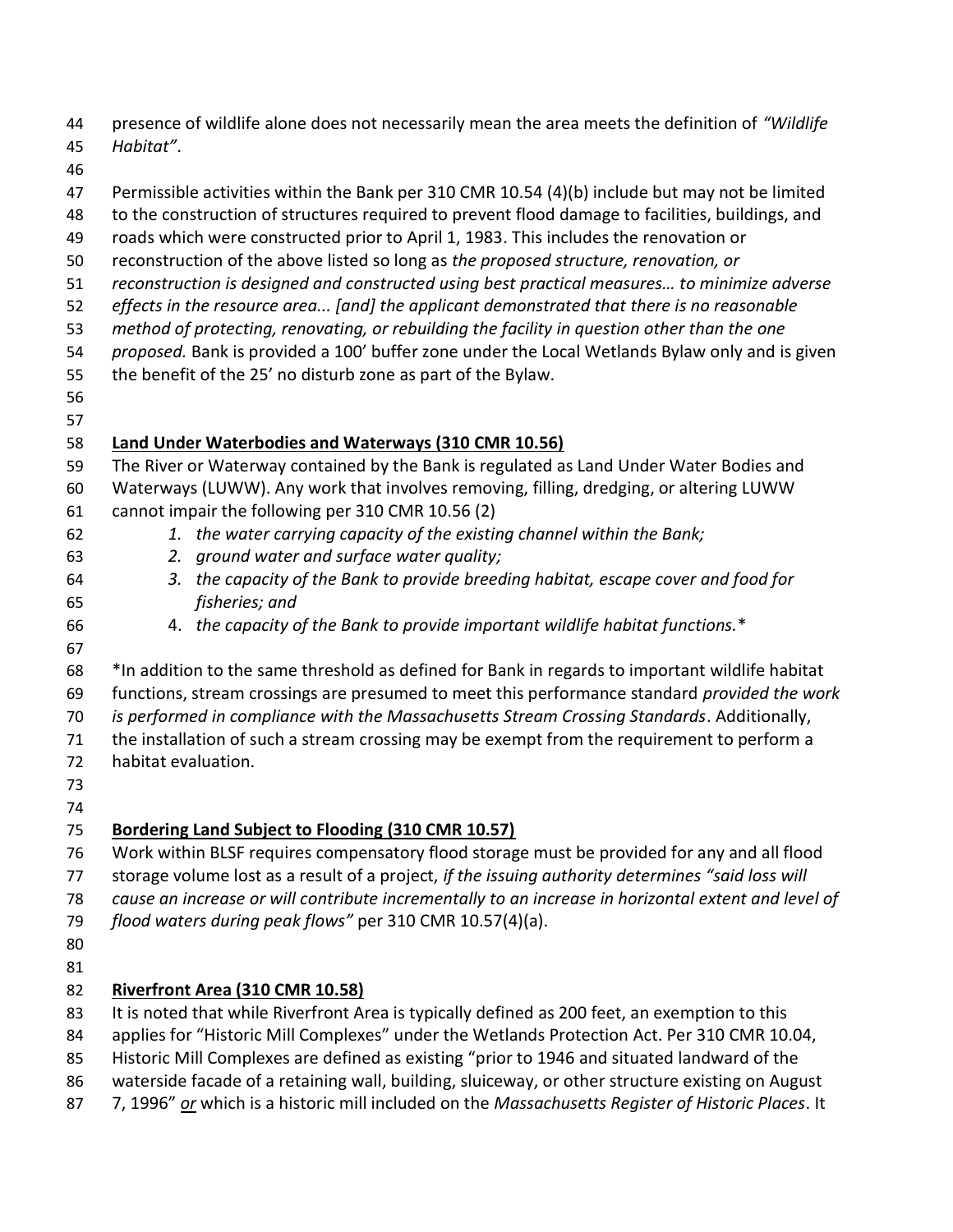44 presence of wildlife alone does not necessarily mean the area meets the definition of "Wildlife"

- Habitat".
- 
- Permissible activities within the Bank per 310 CMR 10.54 (4)(b) include but may not be limited
- to the construction of structures required to prevent flood damage to facilities, buildings, and
- roads which were constructed prior to April 1, 1983. This includes the renovation or
- reconstruction of the above listed so long as the proposed structure, renovation, or
- reconstruction is designed and constructed using best practical measures… to minimize adverse
- effects in the resource area... [and] the applicant demonstrated that there is no reasonable
- method of protecting, renovating, or rebuilding the facility in question other than the one
- 54 proposed. Bank is provided a 100' buffer zone under the Local Wetlands Bylaw only and is given
- the benefit of the 25' no disturb zone as part of the Bylaw.
- 
- 

## Land Under Waterbodies and Waterways (310 CMR 10.56)

- The River or Waterway contained by the Bank is regulated as Land Under Water Bodies and
- Waterways (LUWW). Any work that involves removing, filling, dredging, or altering LUWW cannot impair the following per 310 CMR 10.56 (2)
- 62 1. the water carrying capacity of the existing channel within the Bank;
- 2. ground water and surface water quality;
- 3. the capacity of the Bank to provide breeding habitat, escape cover and food for fisheries; and
- 4. the capacity of the Bank to provide important wildlife habitat functions.\*
- 
- 
- \*In addition to the same threshold as defined for Bank in regards to important wildlife habitat 69 functions, stream crossings are presumed to meet this performance standard provided the work is performed in compliance with the Massachusetts Stream Crossing Standards. Additionally,
- the installation of such a stream crossing may be exempt from the requirement to perform a habitat evaluation.
- 
- 

## Bordering Land Subject to Flooding (310 CMR 10.57)

- Work within BLSF requires compensatory flood storage must be provided for any and all flood 77 storage volume lost as a result of a project, if the issuing authority determines "said loss will
- cause an increase or will contribute incrementally to an increase in horizontal extent and level of
- flood waters during peak flows" per 310 CMR 10.57(4)(a).
- 

## Riverfront Area (310 CMR 10.58)

- 83 It is noted that while Riverfront Area is typically defined as 200 feet, an exemption to this
- 84 applies for "Historic Mill Complexes" under the Wetlands Protection Act. Per 310 CMR 10.04,
- Historic Mill Complexes are defined as existing "prior to 1946 and situated landward of the
- waterside facade of a retaining wall, building, sluiceway, or other structure existing on August
- 87 7, 1996" or which is a historic mill included on the Massachusetts Register of Historic Places. It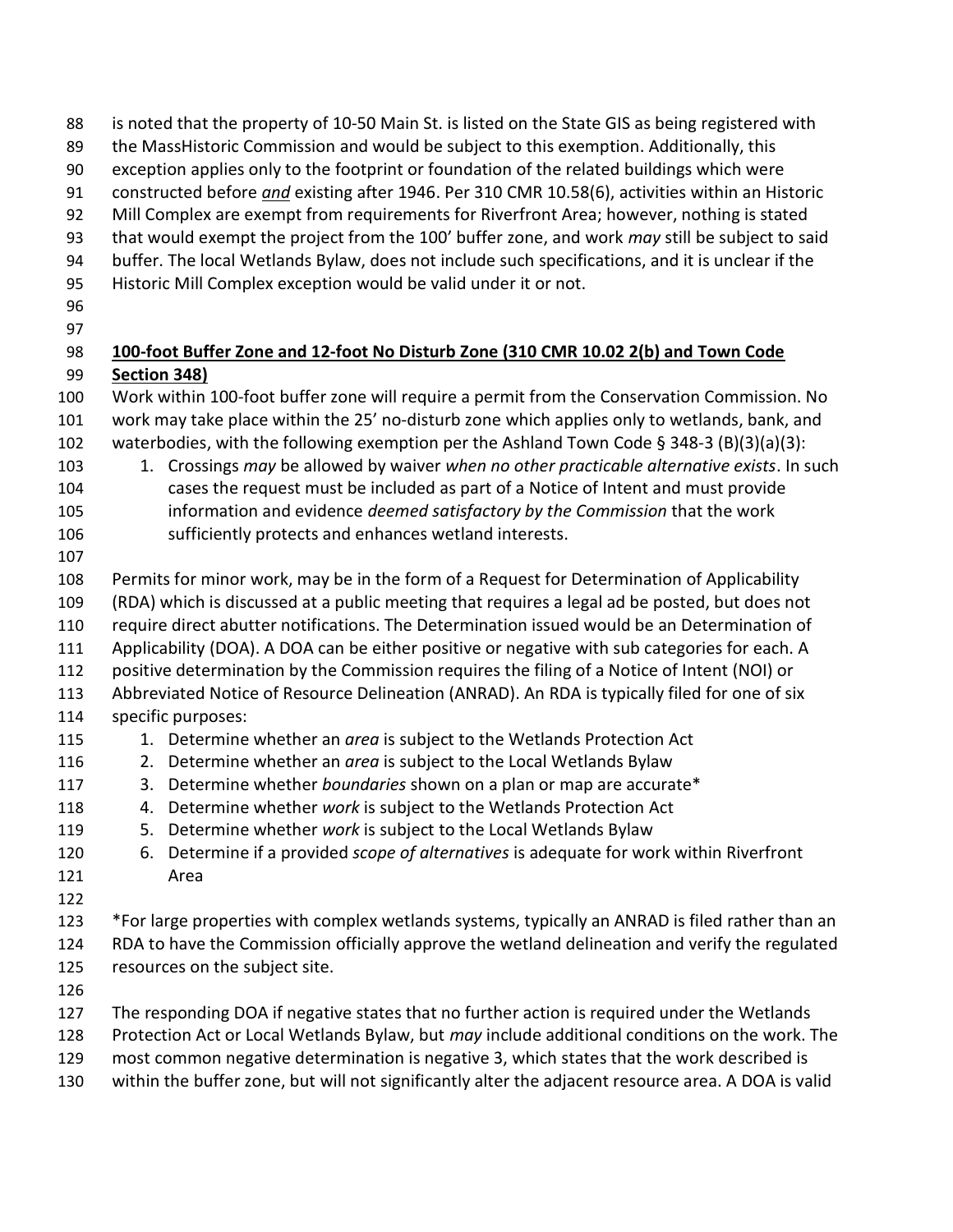88 is noted that the property of 10-50 Main St. is listed on the State GIS as being registered with the MassHistoric Commission and would be subject to this exemption. Additionally, this exception applies only to the footprint or foundation of the related buildings which were 91 constructed before and existing after 1946. Per 310 CMR 10.58(6), activities within an Historic 92 Mill Complex are exempt from requirements for Riverfront Area; however, nothing is stated 93 that would exempt the project from the 100' buffer zone, and work may still be subject to said buffer. The local Wetlands Bylaw, does not include such specifications, and it is unclear if the Historic Mill Complex exception would be valid under it or not. 98 100-foot Buffer Zone and 12-foot No Disturb Zone (310 CMR 10.02 2(b) and Town Code Section 348) Work within 100-foot buffer zone will require a permit from the Conservation Commission. No work may take place within the 25' no-disturb zone which applies only to wetlands, bank, and 102 waterbodies, with the following exemption per the Ashland Town Code § 348-3 (B)(3)(a)(3): 103 1. Crossings may be allowed by waiver when no other practicable alternative exists. In such cases the request must be included as part of a Notice of Intent and must provide 105 information and evidence *deemed satisfactory by the Commission* that the work sufficiently protects and enhances wetland interests. Permits for minor work, may be in the form of a Request for Determination of Applicability (RDA) which is discussed at a public meeting that requires a legal ad be posted, but does not require direct abutter notifications. The Determination issued would be an Determination of Applicability (DOA). A DOA can be either positive or negative with sub categories for each. A positive determination by the Commission requires the filing of a Notice of Intent (NOI) or Abbreviated Notice of Resource Delineation (ANRAD). An RDA is typically filed for one of six specific purposes: 115 115 1. Determine whether an *area* is subject to the Wetlands Protection Act 116 2. Determine whether an area is subject to the Local Wetlands Bylaw 117 3. Determine whether boundaries shown on a plan or map are accurate\* 118 4. Determine whether work is subject to the Wetlands Protection Act 119 5. Determine whether work is subject to the Local Wetlands Bylaw 120 6. Determine if a provided *scope of alternatives* is adequate for work within Riverfront Area \*For large properties with complex wetlands systems, typically an ANRAD is filed rather than an RDA to have the Commission officially approve the wetland delineation and verify the regulated resources on the subject site. The responding DOA if negative states that no further action is required under the Wetlands 128 Protection Act or Local Wetlands Bylaw, but may include additional conditions on the work. The most common negative determination is negative 3, which states that the work described is within the buffer zone, but will not significantly alter the adjacent resource area. A DOA is valid